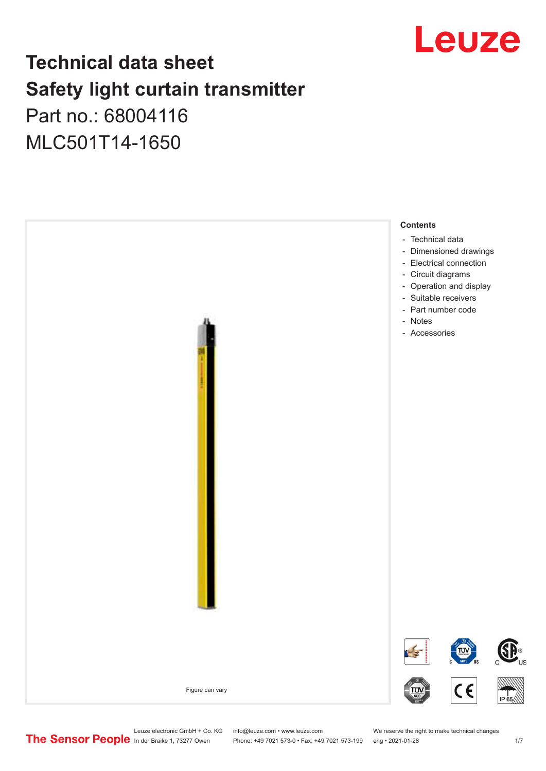

## **Technical data sheet Safety light curtain transmitter**

Part no.: 68004116 MLC501T14-1650



Leuze electronic GmbH + Co. KG info@leuze.com • www.leuze.com We reserve the right to make technical changes<br>
The Sensor People in der Braike 1, 73277 Owen Phone: +49 7021 573-0 • Fax: +49 7021 573-199 eng • 2021-01-28

Phone: +49 7021 573-0 • Fax: +49 7021 573-199 eng • 2021-01-28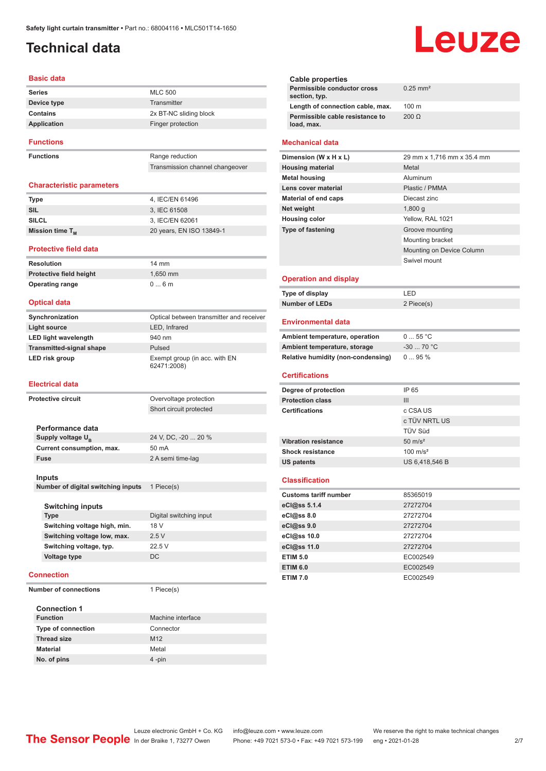## <span id="page-1-0"></span>**Technical data**

#### **Basic data**

| <b>Series</b>    | <b>MLC 500</b>         |
|------------------|------------------------|
| Device type      | Transmitter            |
| Contains         | 2x BT-NC sliding block |
| Application      | Finger protection      |
| <b>Functions</b> |                        |

**Functions** Range reduction

### Transmission channel changeover

#### **Characteristic parameters**

| <b>Type</b>          | 4, IEC/EN 61496          |
|----------------------|--------------------------|
| SIL                  | 3. IEC 61508             |
| <b>SILCL</b>         | 3. IEC/EN 62061          |
| Mission time $T_{M}$ | 20 years, EN ISO 13849-1 |

#### **Protective field data**

**Resolution** 14 mm **Protective field height** 1,650 mm<br> **Operating range** 0 ... 6 m **Operating range** 

#### **Optical data**

| Synchronization                 | Optical between transmitter and receiver     |
|---------------------------------|----------------------------------------------|
| Light source                    | LED, Infrared                                |
| <b>LED light wavelength</b>     | 940 nm                                       |
| <b>Transmitted-signal shape</b> | Pulsed                                       |
| LED risk group                  | Exempt group (in acc. with EN<br>62471:2008) |

#### **Electrical data**

| Protective circuit                 | Overvoltage protection  |
|------------------------------------|-------------------------|
|                                    | Short circuit protected |
|                                    |                         |
| Performance data                   |                         |
| Supply voltage $U_{\rm B}$         | 24 V, DC, -20  20 %     |
| Current consumption, max.          | 50 mA                   |
| <b>Fuse</b>                        | 2 A semi time-lag       |
|                                    |                         |
| Inputs                             |                         |
| Number of digital switching inputs | 1 Piece(s)              |
|                                    |                         |
| <b>Switching inputs</b>            |                         |
| <b>Type</b>                        | Digital switching input |
| Switching voltage high, min.       | 18 V                    |
| Switching voltage low, max.        | 2.5V                    |
| Switching voltage, typ.            | 22.5V                   |
| Voltage type                       | DC.                     |
|                                    |                         |
| Connection                         |                         |

**Number of connections** 1 Piece(s)

| <b>Connection 1</b>       |                   |  |
|---------------------------|-------------------|--|
| <b>Function</b>           | Machine interface |  |
| <b>Type of connection</b> | Connector         |  |
| <b>Thread size</b>        | M <sub>12</sub>   |  |
| <b>Material</b>           | Metal             |  |
| No. of pins               | $4$ -pin          |  |

# Leuze

| Cable properties                              |                        |
|-----------------------------------------------|------------------------|
| Permissible conductor cross<br>section, typ.  | $0.25$ mm <sup>2</sup> |
| Length of connection cable, max.              | $100 \text{ m}$        |
| Permissible cable resistance to<br>load, max. | $200 \Omega$           |
|                                               |                        |

#### **Mechanical data**

| Dimension (W x H x L)       | 29 mm x 1,716 mm x 35.4 mm |
|-----------------------------|----------------------------|
| <b>Housing material</b>     | Metal                      |
| <b>Metal housing</b>        | Aluminum                   |
| Lens cover material         | Plastic / PMMA             |
| <b>Material of end caps</b> | Diecast zinc               |
| Net weight                  | 1,800q                     |
| <b>Housing color</b>        | Yellow, RAL 1021           |
| <b>Type of fastening</b>    | Groove mounting            |
|                             | Mounting bracket           |
|                             | Mounting on Device Column  |
|                             | Swivel mount               |
|                             |                            |

#### **Operation and display**

| Type of display | ' FD.      |
|-----------------|------------|
| Number of LEDs  | 2 Piece(s) |

#### **Environmental data**

| Ambient temperature, operation     | 055 °C      |
|------------------------------------|-------------|
| Ambient temperature, storage       | $-30$ 70 °C |
| Relative humidity (non-condensing) | $095\%$     |

#### **Certifications**

| Degree of protection        | IP 65               |
|-----------------------------|---------------------|
| <b>Protection class</b>     | Ш                   |
| <b>Certifications</b>       | c CSA US            |
|                             | c TÜV NRTL US       |
|                             | <b>TÜV Süd</b>      |
| <b>Vibration resistance</b> | $50 \text{ m/s}^2$  |
| <b>Shock resistance</b>     | $100 \text{ m/s}^2$ |
| <b>US patents</b>           | US 6,418,546 B      |

#### **Classification**

| <b>Customs tariff number</b> | 85365019 |
|------------------------------|----------|
| eCl@ss 5.1.4                 | 27272704 |
| eCl@ss 8.0                   | 27272704 |
| $eC$ <sub>l</sub> $@ss$ 9.0  | 27272704 |
| eCl@ss 10.0                  | 27272704 |
| eCl@ss 11.0                  | 27272704 |
| <b>ETIM 5.0</b>              | EC002549 |
| <b>ETIM 6.0</b>              | EC002549 |
| <b>ETIM 7.0</b>              | EC002549 |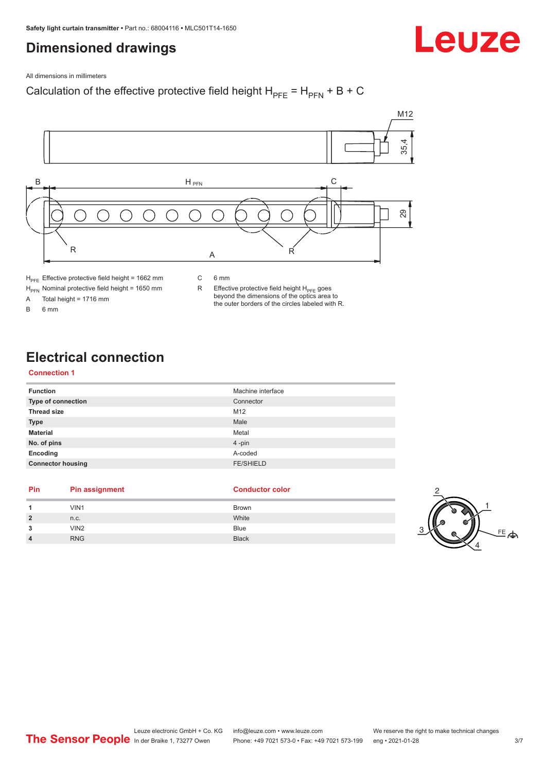## <span id="page-2-0"></span>**Dimensioned drawings**



All dimensions in millimeters

### Calculation of the effective protective field height  $H_{PFE} = H_{PFN} + B + C$



 $H<sub>PE</sub>$  Effective protective field height = 1662 mm

 $H_{\text{PFN}}$  Nominal protective field height = 1650 mm<br>A Total height = 1716 mm

Total height =  $1716$  mm

B 6 mm

C 6 mm

R Effective protective field height  $H_{PFE}$  goes beyond the dimensions of the optics area to the outer borders of the circles labeled with R.

## **Electrical connection**

#### **Connection 1**

| <b>Function</b>           | Machine interface |
|---------------------------|-------------------|
| <b>Type of connection</b> | Connector         |
| <b>Thread size</b>        | M12               |
| <b>Type</b>               | Male              |
| <b>Material</b>           | Metal             |
| No. of pins               | 4-pin             |
| Encoding                  | A-coded           |
| <b>Connector housing</b>  | <b>FE/SHIELD</b>  |

#### **Pin Pin assignment Conductor Conductor Color**

#### **1 1** VIN1 Brown **2** n.c. White **3** VIN2 Blue **4** RNG Black 3



2

1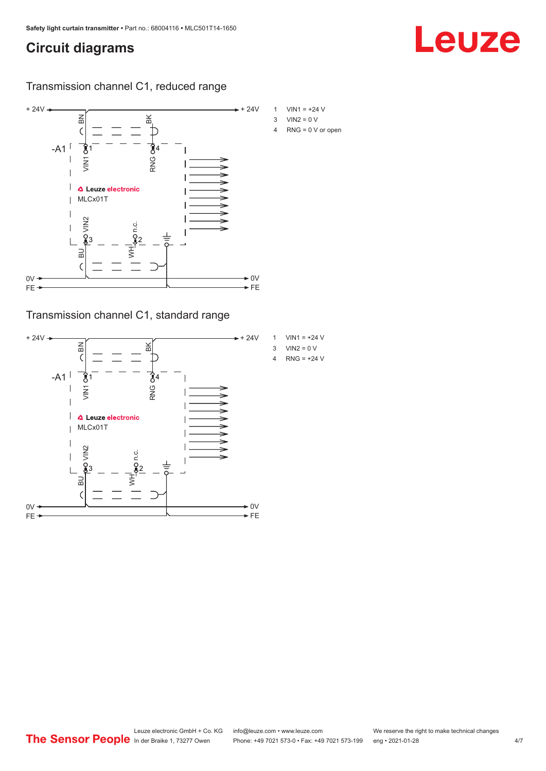## <span id="page-3-0"></span>**Circuit diagrams**

### Transmission channel C1, reduced range



Transmission channel C1, standard range



- 
- 

Leuze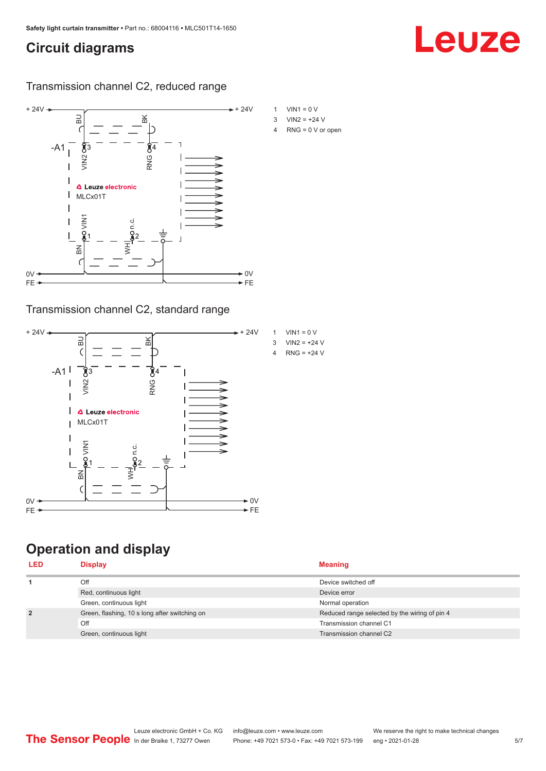## <span id="page-4-0"></span>**Circuit diagrams**

Transmission channel C2, reduced range



### Transmission channel C2, standard range



## **Operation and display**

| <b>LED</b>     | Display                                       | <b>Meaning</b>                                |
|----------------|-----------------------------------------------|-----------------------------------------------|
|                | Off                                           | Device switched off                           |
|                | Red, continuous light                         | Device error                                  |
|                | Green, continuous light                       | Normal operation                              |
| $\overline{2}$ | Green, flashing, 10 s long after switching on | Reduced range selected by the wiring of pin 4 |
|                | Off                                           | Transmission channel C1                       |
|                | Green, continuous light                       | Transmission channel C2                       |

#### Leuze electronic GmbH + Co. KG info@leuze.com • www.leuze.com We reserve the right to make technical changes<br>
The Sensor People in der Braike 1, 73277 Owen Phone: +49 7021 573-0 • Fax: +49 7021 573-199 eng • 2021-01-28 Phone: +49 7021 573-0 • Fax: +49 7021 573-199 eng • 2021-01-28 5/7

Leuze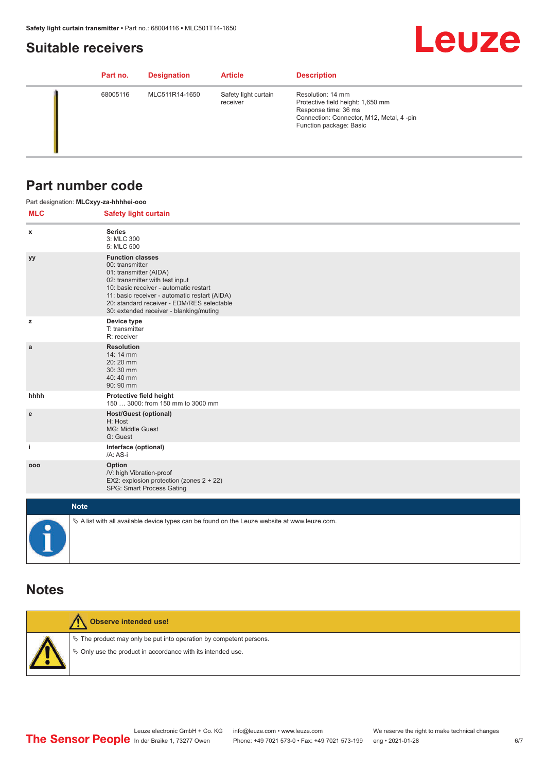## <span id="page-5-0"></span>**Suitable receivers**

## **Leuze**

| Part no. | <b>Designation</b> | <b>Article</b>                   | <b>Description</b>                                                                                                                                    |
|----------|--------------------|----------------------------------|-------------------------------------------------------------------------------------------------------------------------------------------------------|
| 68005116 | MLC511R14-1650     | Safety light curtain<br>receiver | Resolution: 14 mm<br>Protective field height: 1,650 mm<br>Response time: 36 ms<br>Connection: Connector, M12, Metal, 4-pin<br>Function package: Basic |

## **Part number code**

|            | Part designation: MLCxyy-za-hhhhei-ooo                                                                                                                                                                                                                                                      |
|------------|---------------------------------------------------------------------------------------------------------------------------------------------------------------------------------------------------------------------------------------------------------------------------------------------|
| <b>MLC</b> | <b>Safety light curtain</b>                                                                                                                                                                                                                                                                 |
| x          | <b>Series</b><br>3: MLC 300<br>5: MLC 500                                                                                                                                                                                                                                                   |
| уу         | <b>Function classes</b><br>00: transmitter<br>01: transmitter (AIDA)<br>02: transmitter with test input<br>10: basic receiver - automatic restart<br>11: basic receiver - automatic restart (AIDA)<br>20: standard receiver - EDM/RES selectable<br>30: extended receiver - blanking/muting |
| z          | Device type<br>T: transmitter<br>R: receiver                                                                                                                                                                                                                                                |
| a          | <b>Resolution</b><br>14: 14 mm<br>20:20 mm<br>30:30 mm<br>40:40 mm<br>90: 90 mm                                                                                                                                                                                                             |
| hhhh       | Protective field height<br>150  3000: from 150 mm to 3000 mm                                                                                                                                                                                                                                |
| ${\bf e}$  | <b>Host/Guest (optional)</b><br>H: Host<br>MG: Middle Guest<br>G: Guest                                                                                                                                                                                                                     |
| j.         | Interface (optional)<br>/A: AS-i                                                                                                                                                                                                                                                            |
| 000        | Option<br>/V: high Vibration-proof<br>EX2: explosion protection (zones 2 + 22)<br>SPG: Smart Process Gating                                                                                                                                                                                 |
|            | <b>Note</b>                                                                                                                                                                                                                                                                                 |
|            | $\&$ A list with all available device types can be found on the Leuze website at www.leuze.com.                                                                                                                                                                                             |

### **Notes**

| Observe intended use!                                                                                                                |
|--------------------------------------------------------------------------------------------------------------------------------------|
| $\&$ The product may only be put into operation by competent persons.<br>§ Only use the product in accordance with its intended use. |